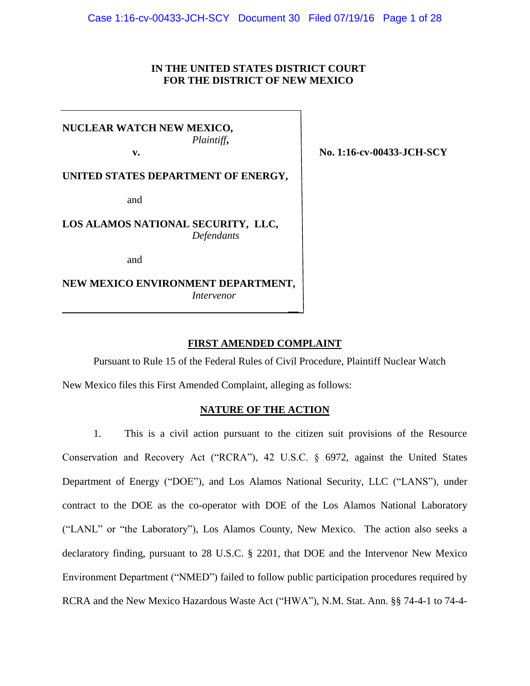## **IN THE UNITED STATES DISTRICT COURT FOR THE DISTRICT OF NEW MEXICO**

**NUCLEAR WATCH NEW MEXICO,** *Plaintiff***,**

**UNITED STATES DEPARTMENT OF ENERGY,**

and

**LOS ALAMOS NATIONAL SECURITY, LLC,** *Defendants*

and

**NEW MEXICO ENVIRONMENT DEPARTMENT,** *Intervenor*

**FIRST AMENDED COMPLAINT**

Pursuant to Rule 15 of the Federal Rules of Civil Procedure, Plaintiff Nuclear Watch

**\_\_**

New Mexico files this First Amended Complaint, alleging as follows:

### **NATURE OF THE ACTION**

1. This is a civil action pursuant to the citizen suit provisions of the Resource Conservation and Recovery Act ("RCRA"), 42 U.S.C. § 6972, against the United States Department of Energy ("DOE"), and Los Alamos National Security, LLC ("LANS"), under contract to the DOE as the co-operator with DOE of the Los Alamos National Laboratory ("LANL" or "the Laboratory"), Los Alamos County, New Mexico. The action also seeks a declaratory finding, pursuant to 28 U.S.C. § 2201, that DOE and the Intervenor New Mexico Environment Department ("NMED") failed to follow public participation procedures required by RCRA and the New Mexico Hazardous Waste Act ("HWA"), N.M. Stat. Ann. §§ 74-4-1 to 74-4-

**12. IV. SEPTEMBER 1:16-cv-00433-JCH-SCY**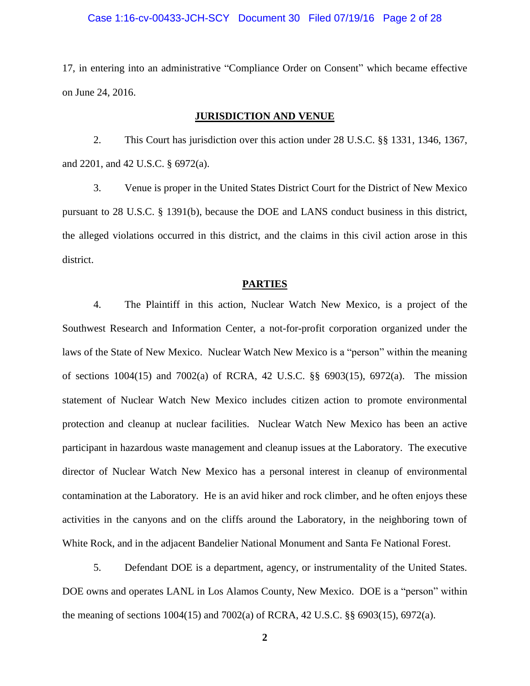### Case 1:16-cv-00433-JCH-SCY Document 30 Filed 07/19/16 Page 2 of 28

17, in entering into an administrative "Compliance Order on Consent" which became effective on June 24, 2016.

### **JURISDICTION AND VENUE**

2. This Court has jurisdiction over this action under 28 U.S.C. §§ 1331, 1346, 1367, and 2201, and 42 U.S.C. § 6972(a).

3. Venue is proper in the United States District Court for the District of New Mexico pursuant to 28 U.S.C. § 1391(b), because the DOE and LANS conduct business in this district, the alleged violations occurred in this district, and the claims in this civil action arose in this district.

#### **PARTIES**

4. The Plaintiff in this action, Nuclear Watch New Mexico, is a project of the Southwest Research and Information Center, a not-for-profit corporation organized under the laws of the State of New Mexico. Nuclear Watch New Mexico is a "person" within the meaning of sections 1004(15) and 7002(a) of RCRA, 42 U.S.C. §§ 6903(15), 6972(a). The mission statement of Nuclear Watch New Mexico includes citizen action to promote environmental protection and cleanup at nuclear facilities. Nuclear Watch New Mexico has been an active participant in hazardous waste management and cleanup issues at the Laboratory. The executive director of Nuclear Watch New Mexico has a personal interest in cleanup of environmental contamination at the Laboratory. He is an avid hiker and rock climber, and he often enjoys these activities in the canyons and on the cliffs around the Laboratory, in the neighboring town of White Rock, and in the adjacent Bandelier National Monument and Santa Fe National Forest.

5. Defendant DOE is a department, agency, or instrumentality of the United States. DOE owns and operates LANL in Los Alamos County, New Mexico. DOE is a "person" within the meaning of sections 1004(15) and 7002(a) of RCRA, 42 U.S.C. §§ 6903(15), 6972(a).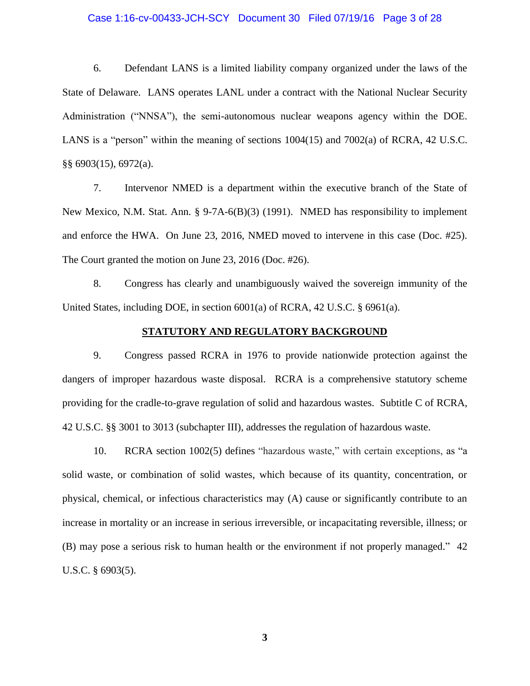### Case 1:16-cv-00433-JCH-SCY Document 30 Filed 07/19/16 Page 3 of 28

6. Defendant LANS is a limited liability company organized under the laws of the State of Delaware. LANS operates LANL under a contract with the National Nuclear Security Administration ("NNSA"), the semi-autonomous nuclear weapons agency within the DOE. LANS is a "person" within the meaning of sections 1004(15) and 7002(a) of RCRA, 42 U.S.C. §§ 6903(15), 6972(a).

7. Intervenor NMED is a department within the executive branch of the State of New Mexico, N.M. Stat. Ann. § 9-7A-6(B)(3) (1991). NMED has responsibility to implement and enforce the HWA. On June 23, 2016, NMED moved to intervene in this case (Doc. #25). The Court granted the motion on June 23, 2016 (Doc. #26).

8. Congress has clearly and unambiguously waived the sovereign immunity of the United States, including DOE, in section 6001(a) of RCRA, 42 U.S.C. § 6961(a).

### **STATUTORY AND REGULATORY BACKGROUND**

9. Congress passed RCRA in 1976 to provide nationwide protection against the dangers of improper hazardous waste disposal. RCRA is a comprehensive statutory scheme providing for the cradle-to-grave regulation of solid and hazardous wastes. Subtitle C of RCRA, 42 U.S.C. §§ 3001 to 3013 (subchapter III), addresses the regulation of hazardous waste.

10. RCRA section 1002(5) defines "hazardous waste," with certain exceptions, as "a solid waste, or combination of solid wastes, which because of its quantity, concentration, or physical, chemical, or infectious characteristics may (A) cause or significantly contribute to an increase in mortality or an increase in serious irreversible, or incapacitating reversible, illness; or (B) may pose a serious risk to human health or the environment if not properly managed." 42 U.S.C. § 6903(5).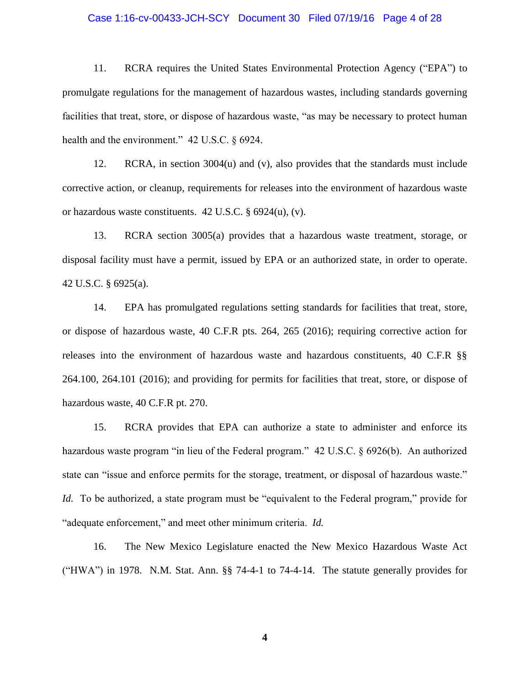### Case 1:16-cv-00433-JCH-SCY Document 30 Filed 07/19/16 Page 4 of 28

11. RCRA requires the United States Environmental Protection Agency ("EPA") to promulgate regulations for the management of hazardous wastes, including standards governing facilities that treat, store, or dispose of hazardous waste, "as may be necessary to protect human health and the environment." 42 U.S.C. § 6924.

12. RCRA, in section 3004(u) and (v), also provides that the standards must include corrective action, or cleanup, requirements for releases into the environment of hazardous waste or hazardous waste constituents. 42 U.S.C. § 6924(u), (v).

13. RCRA section 3005(a) provides that a hazardous waste treatment, storage, or disposal facility must have a permit, issued by EPA or an authorized state, in order to operate. 42 U.S.C. § 6925(a).

14. EPA has promulgated regulations setting standards for facilities that treat, store, or dispose of hazardous waste, 40 C.F.R pts. 264, 265 (2016); requiring corrective action for releases into the environment of hazardous waste and hazardous constituents, 40 C.F.R §§ 264.100, 264.101 (2016); and providing for permits for facilities that treat, store, or dispose of hazardous waste, 40 C.F.R pt. 270.

15. RCRA provides that EPA can authorize a state to administer and enforce its hazardous waste program "in lieu of the Federal program." 42 U.S.C. § 6926(b). An authorized state can "issue and enforce permits for the storage, treatment, or disposal of hazardous waste." *Id.* To be authorized, a state program must be "equivalent to the Federal program," provide for "adequate enforcement," and meet other minimum criteria. *Id.*

16. The New Mexico Legislature enacted the New Mexico Hazardous Waste Act ("HWA") in 1978. N.M. Stat. Ann. §§ 74-4-1 to 74-4-14. The statute generally provides for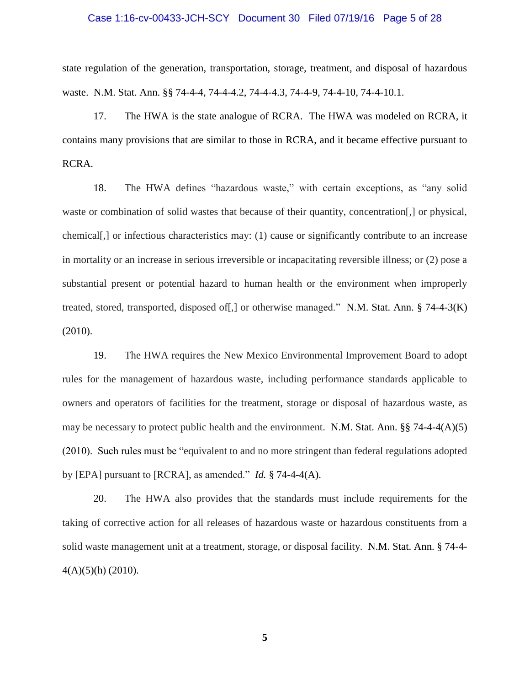### Case 1:16-cv-00433-JCH-SCY Document 30 Filed 07/19/16 Page 5 of 28

state regulation of the generation, transportation, storage, treatment, and disposal of hazardous waste. N.M. Stat. Ann. §§ 74-4-4, 74-4-4.2, 74-4-4.3, 74-4-9, 74-4-10, 74-4-10.1.

17. The HWA is the state analogue of RCRA. The HWA was modeled on RCRA, it contains many provisions that are similar to those in RCRA, and it became effective pursuant to RCRA.

18. The HWA defines "hazardous waste," with certain exceptions, as "any solid waste or combination of solid wastes that because of their quantity, concentration[,] or physical, chemical[,] or infectious characteristics may: (1) cause or significantly contribute to an increase in mortality or an increase in serious irreversible or incapacitating reversible illness; or (2) pose a substantial present or potential hazard to human health or the environment when improperly treated, stored, transported, disposed of[,] or otherwise managed." N.M. Stat. Ann. § 74-4-3(K) (2010).

19. The HWA requires the New Mexico Environmental Improvement Board to adopt rules for the management of hazardous waste, including performance standards applicable to owners and operators of facilities for the treatment, storage or disposal of hazardous waste, as may be necessary to protect public health and the environment. N.M. Stat. Ann. §§ 74-4-4(A)(5) (2010). Such rules must be "equivalent to and no more stringent than federal regulations adopted by [EPA] pursuant to [RCRA], as amended." *Id.* § 74-4-4(A).

20. The HWA also provides that the standards must include requirements for the taking of corrective action for all releases of hazardous waste or hazardous constituents from a solid waste management unit at a treatment, storage, or disposal facility. N.M. Stat. Ann. § 74-4-  $4(A)(5)(h)$  (2010).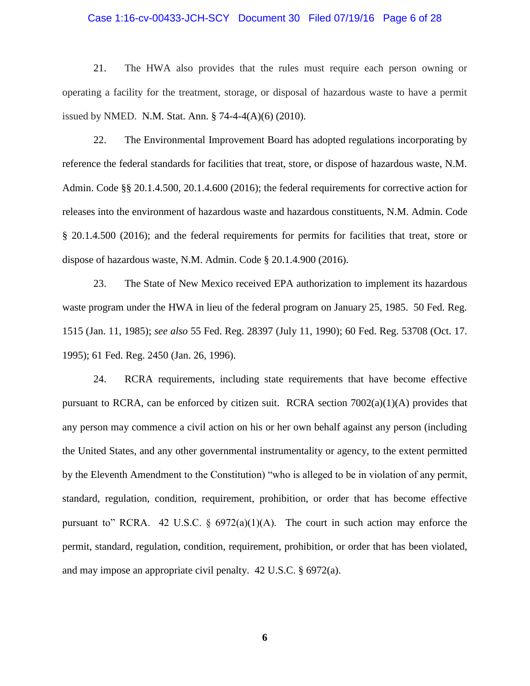### Case 1:16-cv-00433-JCH-SCY Document 30 Filed 07/19/16 Page 6 of 28

21. The HWA also provides that the rules must require each person owning or operating a facility for the treatment, storage, or disposal of hazardous waste to have a permit issued by NMED. N.M. Stat. Ann. § 74-4-4(A)(6) (2010).

22. The Environmental Improvement Board has adopted regulations incorporating by reference the federal standards for facilities that treat, store, or dispose of hazardous waste, N.M. Admin. Code §§ 20.1.4.500, 20.1.4.600 (2016); the federal requirements for corrective action for releases into the environment of hazardous waste and hazardous constituents, N.M. Admin. Code § 20.1.4.500 (2016); and the federal requirements for permits for facilities that treat, store or dispose of hazardous waste, N.M. Admin. Code § 20.1.4.900 (2016).

23. The State of New Mexico received EPA authorization to implement its hazardous waste program under the HWA in lieu of the federal program on January 25, 1985. 50 Fed. Reg. 1515 (Jan. 11, 1985); *see also* 55 Fed. Reg. 28397 (July 11, 1990); 60 Fed. Reg. 53708 (Oct. 17. 1995); 61 Fed. Reg. 2450 (Jan. 26, 1996).

24. RCRA requirements, including state requirements that have become effective pursuant to RCRA, can be enforced by citizen suit. RCRA section 7002(a)(1)(A) provides that any person may commence a civil action on his or her own behalf against any person (including the United States, and any other governmental instrumentality or agency, to the extent permitted by the Eleventh Amendment to the Constitution) "who is alleged to be in violation of any permit, standard, regulation, condition, requirement, prohibition, or order that has become effective pursuant to" RCRA. 42 U.S.C.  $\S$  6972(a)(1)(A). The court in such action may enforce the permit, standard, regulation, condition, requirement, prohibition, or order that has been violated, and may impose an appropriate civil penalty. 42 U.S.C. § 6972(a).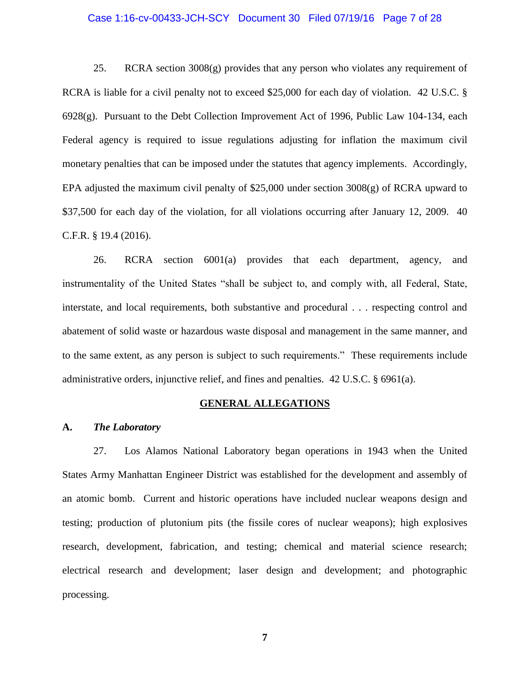### Case 1:16-cv-00433-JCH-SCY Document 30 Filed 07/19/16 Page 7 of 28

25. RCRA section 3008(g) provides that any person who violates any requirement of RCRA is liable for a civil penalty not to exceed \$25,000 for each day of violation. 42 U.S.C. § 6928(g). Pursuant to the Debt Collection Improvement Act of 1996, Public Law 104-134, each Federal agency is required to issue regulations adjusting for inflation the maximum civil monetary penalties that can be imposed under the statutes that agency implements. Accordingly, EPA adjusted the maximum civil penalty of \$25,000 under section 3008(g) of RCRA upward to \$37,500 for each day of the violation, for all violations occurring after January 12, 2009. 40 C.F.R. § 19.4 (2016).

26. RCRA section 6001(a) provides that each department, agency, and instrumentality of the United States "shall be subject to, and comply with, all Federal, State, interstate, and local requirements, both substantive and procedural . . . respecting control and abatement of solid waste or hazardous waste disposal and management in the same manner, and to the same extent, as any person is subject to such requirements." These requirements include administrative orders, injunctive relief, and fines and penalties. 42 U.S.C. § 6961(a).

#### **GENERAL ALLEGATIONS**

#### **A.** *The Laboratory*

27. Los Alamos National Laboratory began operations in 1943 when the United States Army Manhattan Engineer District was established for the development and assembly of an atomic bomb. Current and historic operations have included nuclear weapons design and testing; production of plutonium pits (the fissile cores of nuclear weapons); high explosives research, development, fabrication, and testing; chemical and material science research; electrical research and development; laser design and development; and photographic processing.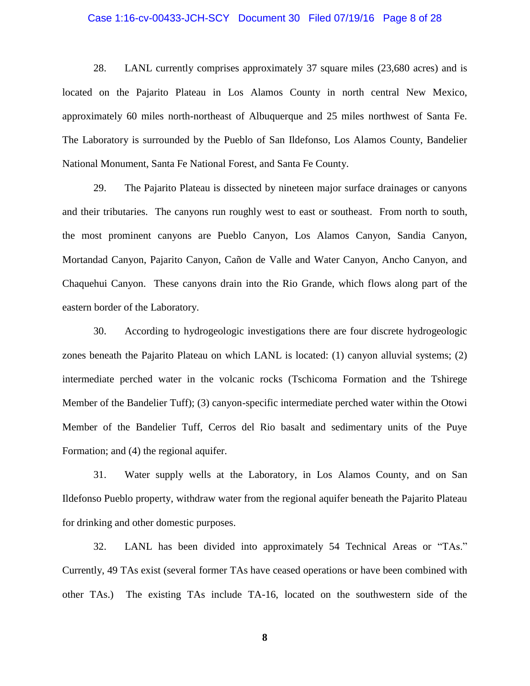### Case 1:16-cv-00433-JCH-SCY Document 30 Filed 07/19/16 Page 8 of 28

28. LANL currently comprises approximately 37 square miles (23,680 acres) and is located on the Pajarito Plateau in Los Alamos County in north central New Mexico, approximately 60 miles north-northeast of Albuquerque and 25 miles northwest of Santa Fe. The Laboratory is surrounded by the Pueblo of San Ildefonso, Los Alamos County, Bandelier National Monument, Santa Fe National Forest, and Santa Fe County.

29. The Pajarito Plateau is dissected by nineteen major surface drainages or canyons and their tributaries. The canyons run roughly west to east or southeast. From north to south, the most prominent canyons are Pueblo Canyon, Los Alamos Canyon, Sandia Canyon, Mortandad Canyon, Pajarito Canyon, Cañon de Valle and Water Canyon, Ancho Canyon, and Chaquehui Canyon. These canyons drain into the Rio Grande, which flows along part of the eastern border of the Laboratory.

30. According to hydrogeologic investigations there are four discrete hydrogeologic zones beneath the Pajarito Plateau on which LANL is located: (1) canyon alluvial systems; (2) intermediate perched water in the volcanic rocks (Tschicoma Formation and the Tshirege Member of the Bandelier Tuff); (3) canyon-specific intermediate perched water within the Otowi Member of the Bandelier Tuff, Cerros del Rio basalt and sedimentary units of the Puye Formation; and (4) the regional aquifer.

31. Water supply wells at the Laboratory, in Los Alamos County, and on San Ildefonso Pueblo property, withdraw water from the regional aquifer beneath the Pajarito Plateau for drinking and other domestic purposes.

32. LANL has been divided into approximately 54 Technical Areas or "TAs." Currently, 49 TAs exist (several former TAs have ceased operations or have been combined with other TAs.) The existing TAs include TA-16, located on the southwestern side of the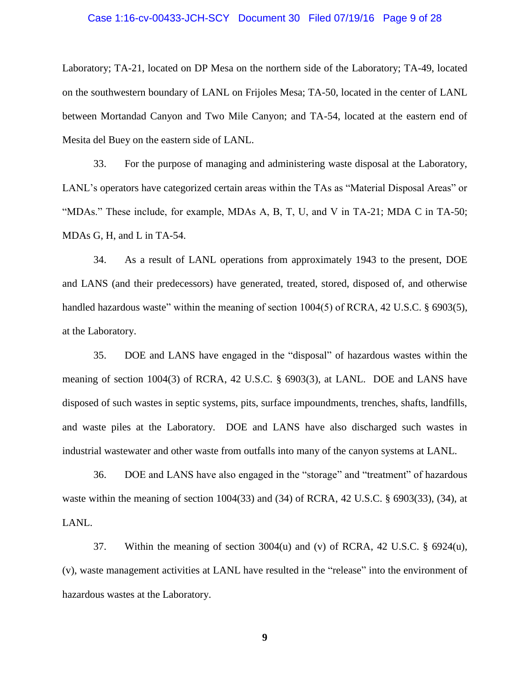### Case 1:16-cv-00433-JCH-SCY Document 30 Filed 07/19/16 Page 9 of 28

Laboratory; TA-21, located on DP Mesa on the northern side of the Laboratory; TA-49, located on the southwestern boundary of LANL on Frijoles Mesa; TA-50, located in the center of LANL between Mortandad Canyon and Two Mile Canyon; and TA-54, located at the eastern end of Mesita del Buey on the eastern side of LANL.

33. For the purpose of managing and administering waste disposal at the Laboratory, LANL's operators have categorized certain areas within the TAs as "Material Disposal Areas" or "MDAs." These include, for example, MDAs A, B, T, U, and V in TA-21; MDA C in TA-50; MDAs G, H, and L in TA-54.

34. As a result of LANL operations from approximately 1943 to the present, DOE and LANS (and their predecessors) have generated, treated, stored, disposed of, and otherwise handled hazardous waste" within the meaning of section 1004(5) of RCRA, 42 U.S.C. § 6903(5), at the Laboratory.

35. DOE and LANS have engaged in the "disposal" of hazardous wastes within the meaning of section 1004(3) of RCRA, 42 U.S.C. § 6903(3), at LANL. DOE and LANS have disposed of such wastes in septic systems, pits, surface impoundments, trenches, shafts, landfills, and waste piles at the Laboratory. DOE and LANS have also discharged such wastes in industrial wastewater and other waste from outfalls into many of the canyon systems at LANL.

36. DOE and LANS have also engaged in the "storage" and "treatment" of hazardous waste within the meaning of section 1004(33) and (34) of RCRA, 42 U.S.C. § 6903(33), (34), at LANL.

37. Within the meaning of section  $3004(u)$  and (v) of RCRA, 42 U.S.C. § 6924 $(u)$ , (v), waste management activities at LANL have resulted in the "release" into the environment of hazardous wastes at the Laboratory.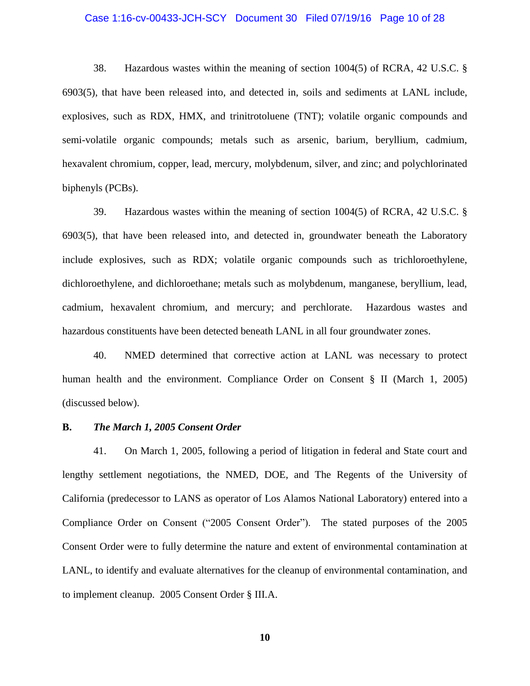### Case 1:16-cv-00433-JCH-SCY Document 30 Filed 07/19/16 Page 10 of 28

38. Hazardous wastes within the meaning of section 1004(5) of RCRA, 42 U.S.C. § 6903(5), that have been released into, and detected in, soils and sediments at LANL include, explosives, such as RDX, HMX, and trinitrotoluene (TNT); volatile organic compounds and semi-volatile organic compounds; metals such as arsenic, barium, beryllium, cadmium, hexavalent chromium, copper, lead, mercury, molybdenum, silver, and zinc; and polychlorinated biphenyls (PCBs).

39. Hazardous wastes within the meaning of section 1004(5) of RCRA, 42 U.S.C. § 6903(5), that have been released into, and detected in, groundwater beneath the Laboratory include explosives, such as RDX; volatile organic compounds such as trichloroethylene, dichloroethylene, and dichloroethane; metals such as molybdenum, manganese, beryllium, lead, cadmium, hexavalent chromium, and mercury; and perchlorate. Hazardous wastes and hazardous constituents have been detected beneath LANL in all four groundwater zones.

40. NMED determined that corrective action at LANL was necessary to protect human health and the environment. Compliance Order on Consent § II (March 1, 2005) (discussed below).

#### **B.** *The March 1, 2005 Consent Order*

41. On March 1, 2005, following a period of litigation in federal and State court and lengthy settlement negotiations, the NMED, DOE, and The Regents of the University of California (predecessor to LANS as operator of Los Alamos National Laboratory) entered into a Compliance Order on Consent ("2005 Consent Order"). The stated purposes of the 2005 Consent Order were to fully determine the nature and extent of environmental contamination at LANL, to identify and evaluate alternatives for the cleanup of environmental contamination, and to implement cleanup. 2005 Consent Order § III.A.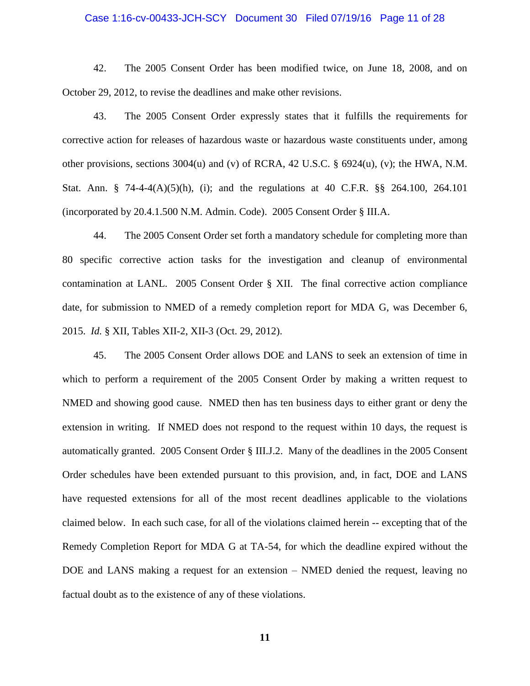### Case 1:16-cv-00433-JCH-SCY Document 30 Filed 07/19/16 Page 11 of 28

42. The 2005 Consent Order has been modified twice, on June 18, 2008, and on October 29, 2012, to revise the deadlines and make other revisions.

43. The 2005 Consent Order expressly states that it fulfills the requirements for corrective action for releases of hazardous waste or hazardous waste constituents under, among other provisions, sections 3004(u) and (v) of RCRA, 42 U.S.C. § 6924(u), (v); the HWA, N.M. Stat. Ann. § 74-4-4(A)(5)(h), (i); and the regulations at 40 C.F.R. §§ 264.100, 264.101 (incorporated by 20.4.1.500 N.M. Admin. Code). 2005 Consent Order § III.A.

44. The 2005 Consent Order set forth a mandatory schedule for completing more than 80 specific corrective action tasks for the investigation and cleanup of environmental contamination at LANL. 2005 Consent Order § XII. The final corrective action compliance date, for submission to NMED of a remedy completion report for MDA G, was December 6, 2015. *Id.* § XII, Tables XII-2, XII-3 (Oct. 29, 2012).

45. The 2005 Consent Order allows DOE and LANS to seek an extension of time in which to perform a requirement of the 2005 Consent Order by making a written request to NMED and showing good cause. NMED then has ten business days to either grant or deny the extension in writing. If NMED does not respond to the request within 10 days, the request is automatically granted. 2005 Consent Order § III.J.2. Many of the deadlines in the 2005 Consent Order schedules have been extended pursuant to this provision, and, in fact, DOE and LANS have requested extensions for all of the most recent deadlines applicable to the violations claimed below. In each such case, for all of the violations claimed herein -- excepting that of the Remedy Completion Report for MDA G at TA-54, for which the deadline expired without the DOE and LANS making a request for an extension – NMED denied the request, leaving no factual doubt as to the existence of any of these violations.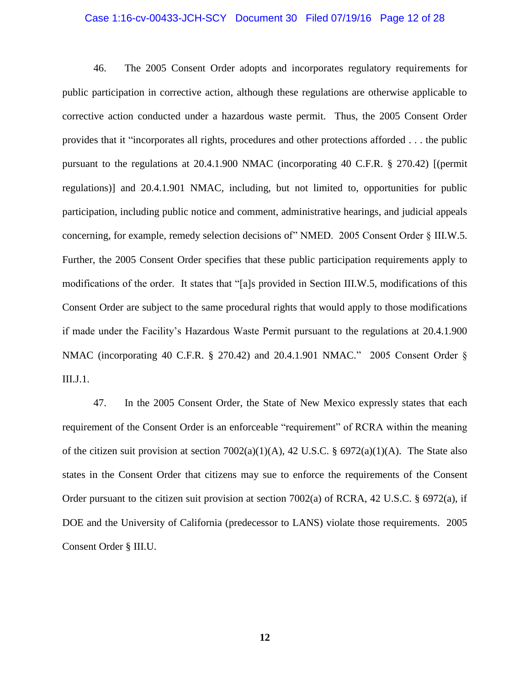### Case 1:16-cv-00433-JCH-SCY Document 30 Filed 07/19/16 Page 12 of 28

46. The 2005 Consent Order adopts and incorporates regulatory requirements for public participation in corrective action, although these regulations are otherwise applicable to corrective action conducted under a hazardous waste permit. Thus, the 2005 Consent Order provides that it "incorporates all rights, procedures and other protections afforded . . . the public pursuant to the regulations at 20.4.1.900 NMAC (incorporating 40 C.F.R. § 270.42) [(permit regulations)] and 20.4.1.901 NMAC, including, but not limited to, opportunities for public participation, including public notice and comment, administrative hearings, and judicial appeals concerning, for example, remedy selection decisions of" NMED. 2005 Consent Order § III.W.5. Further, the 2005 Consent Order specifies that these public participation requirements apply to modifications of the order. It states that "[a]s provided in Section III.W.5, modifications of this Consent Order are subject to the same procedural rights that would apply to those modifications if made under the Facility's Hazardous Waste Permit pursuant to the regulations at 20.4.1.900 NMAC (incorporating 40 C.F.R. § 270.42) and 20.4.1.901 NMAC." 2005 Consent Order § III.J.1.

47. In the 2005 Consent Order, the State of New Mexico expressly states that each requirement of the Consent Order is an enforceable "requirement" of RCRA within the meaning of the citizen suit provision at section  $7002(a)(1)(A)$ , 42 U.S.C. § 6972(a)(1)(A). The State also states in the Consent Order that citizens may sue to enforce the requirements of the Consent Order pursuant to the citizen suit provision at section 7002(a) of RCRA, 42 U.S.C. § 6972(a), if DOE and the University of California (predecessor to LANS) violate those requirements. 2005 Consent Order § III.U.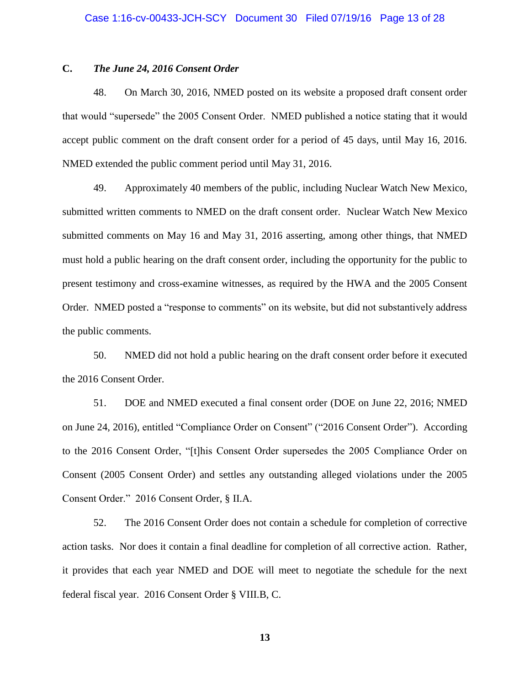## **C.** *The June 24, 2016 Consent Order*

48. On March 30, 2016, NMED posted on its website a proposed draft consent order that would "supersede" the 2005 Consent Order. NMED published a notice stating that it would accept public comment on the draft consent order for a period of 45 days, until May 16, 2016. NMED extended the public comment period until May 31, 2016.

49. Approximately 40 members of the public, including Nuclear Watch New Mexico, submitted written comments to NMED on the draft consent order. Nuclear Watch New Mexico submitted comments on May 16 and May 31, 2016 asserting, among other things, that NMED must hold a public hearing on the draft consent order, including the opportunity for the public to present testimony and cross-examine witnesses, as required by the HWA and the 2005 Consent Order. NMED posted a "response to comments" on its website, but did not substantively address the public comments.

50. NMED did not hold a public hearing on the draft consent order before it executed the 2016 Consent Order.

51. DOE and NMED executed a final consent order (DOE on June 22, 2016; NMED on June 24, 2016), entitled "Compliance Order on Consent" ("2016 Consent Order"). According to the 2016 Consent Order, "[t]his Consent Order supersedes the 2005 Compliance Order on Consent (2005 Consent Order) and settles any outstanding alleged violations under the 2005 Consent Order." 2016 Consent Order, § II.A.

52. The 2016 Consent Order does not contain a schedule for completion of corrective action tasks. Nor does it contain a final deadline for completion of all corrective action. Rather, it provides that each year NMED and DOE will meet to negotiate the schedule for the next federal fiscal year. 2016 Consent Order § VIII.B, C.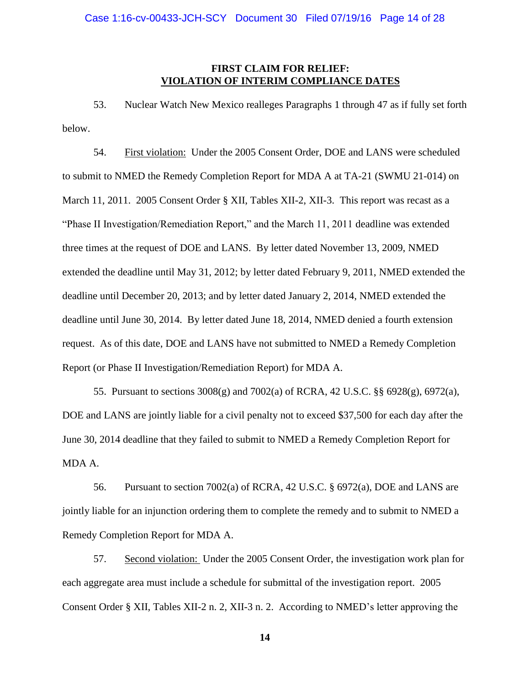# **FIRST CLAIM FOR RELIEF: VIOLATION OF INTERIM COMPLIANCE DATES**

53. Nuclear Watch New Mexico realleges Paragraphs 1 through 47 as if fully set forth below.

54. First violation: Under the 2005 Consent Order, DOE and LANS were scheduled to submit to NMED the Remedy Completion Report for MDA A at TA-21 (SWMU 21-014) on March 11, 2011. 2005 Consent Order § XII, Tables XII-2, XII-3. This report was recast as a "Phase II Investigation/Remediation Report," and the March 11, 2011 deadline was extended three times at the request of DOE and LANS. By letter dated November 13, 2009, NMED extended the deadline until May 31, 2012; by letter dated February 9, 2011, NMED extended the deadline until December 20, 2013; and by letter dated January 2, 2014, NMED extended the deadline until June 30, 2014. By letter dated June 18, 2014, NMED denied a fourth extension request. As of this date, DOE and LANS have not submitted to NMED a Remedy Completion Report (or Phase II Investigation/Remediation Report) for MDA A.

55. Pursuant to sections 3008(g) and 7002(a) of RCRA, 42 U.S.C. §§ 6928(g), 6972(a), DOE and LANS are jointly liable for a civil penalty not to exceed \$37,500 for each day after the June 30, 2014 deadline that they failed to submit to NMED a Remedy Completion Report for MDA A.

56. Pursuant to section 7002(a) of RCRA, 42 U.S.C. § 6972(a), DOE and LANS are jointly liable for an injunction ordering them to complete the remedy and to submit to NMED a Remedy Completion Report for MDA A.

57. Second violation: Under the 2005 Consent Order, the investigation work plan for each aggregate area must include a schedule for submittal of the investigation report. 2005 Consent Order § XII, Tables XII-2 n. 2, XII-3 n. 2. According to NMED's letter approving the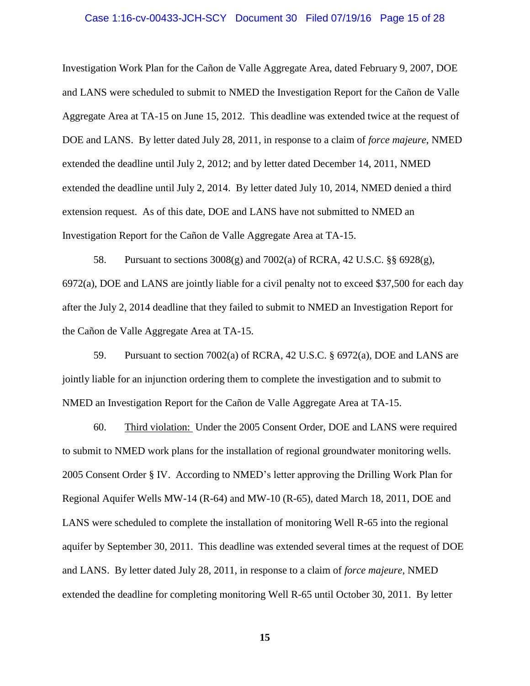### Case 1:16-cv-00433-JCH-SCY Document 30 Filed 07/19/16 Page 15 of 28

Investigation Work Plan for the Cañon de Valle Aggregate Area, dated February 9, 2007, DOE and LANS were scheduled to submit to NMED the Investigation Report for the Cañon de Valle Aggregate Area at TA-15 on June 15, 2012. This deadline was extended twice at the request of DOE and LANS. By letter dated July 28, 2011, in response to a claim of *force majeure*, NMED extended the deadline until July 2, 2012; and by letter dated December 14, 2011, NMED extended the deadline until July 2, 2014. By letter dated July 10, 2014, NMED denied a third extension request. As of this date, DOE and LANS have not submitted to NMED an Investigation Report for the Cañon de Valle Aggregate Area at TA-15.

58. Pursuant to sections  $3008(g)$  and  $7002(a)$  of RCRA, 42 U.S.C. §§ 6928(g), 6972(a), DOE and LANS are jointly liable for a civil penalty not to exceed \$37,500 for each day after the July 2, 2014 deadline that they failed to submit to NMED an Investigation Report for the Cañon de Valle Aggregate Area at TA-15.

59. Pursuant to section 7002(a) of RCRA, 42 U.S.C. § 6972(a), DOE and LANS are jointly liable for an injunction ordering them to complete the investigation and to submit to NMED an Investigation Report for the Cañon de Valle Aggregate Area at TA-15.

60. Third violation: Under the 2005 Consent Order, DOE and LANS were required to submit to NMED work plans for the installation of regional groundwater monitoring wells. 2005 Consent Order § IV. According to NMED's letter approving the Drilling Work Plan for Regional Aquifer Wells MW-14 (R-64) and MW-10 (R-65), dated March 18, 2011, DOE and LANS were scheduled to complete the installation of monitoring Well R-65 into the regional aquifer by September 30, 2011. This deadline was extended several times at the request of DOE and LANS. By letter dated July 28, 2011, in response to a claim of *force majeure*, NMED extended the deadline for completing monitoring Well R-65 until October 30, 2011. By letter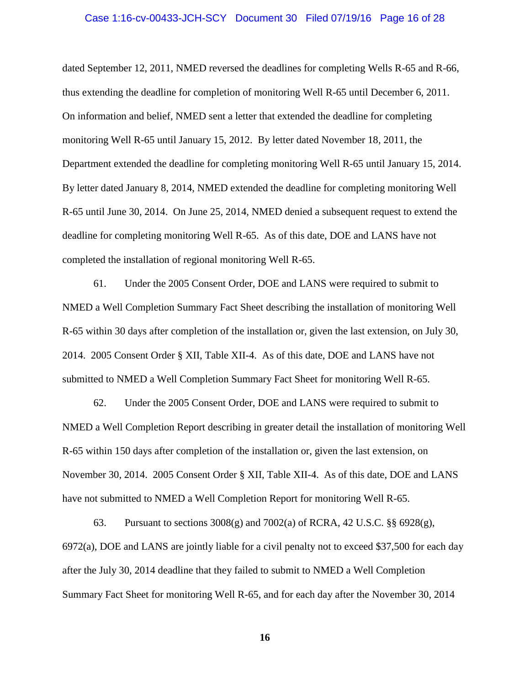### Case 1:16-cv-00433-JCH-SCY Document 30 Filed 07/19/16 Page 16 of 28

dated September 12, 2011, NMED reversed the deadlines for completing Wells R-65 and R-66, thus extending the deadline for completion of monitoring Well R-65 until December 6, 2011. On information and belief, NMED sent a letter that extended the deadline for completing monitoring Well R-65 until January 15, 2012. By letter dated November 18, 2011, the Department extended the deadline for completing monitoring Well R-65 until January 15, 2014. By letter dated January 8, 2014, NMED extended the deadline for completing monitoring Well R-65 until June 30, 2014. On June 25, 2014, NMED denied a subsequent request to extend the deadline for completing monitoring Well R-65. As of this date, DOE and LANS have not completed the installation of regional monitoring Well R-65.

61. Under the 2005 Consent Order, DOE and LANS were required to submit to NMED a Well Completion Summary Fact Sheet describing the installation of monitoring Well R-65 within 30 days after completion of the installation or, given the last extension, on July 30, 2014. 2005 Consent Order § XII, Table XII-4. As of this date, DOE and LANS have not submitted to NMED a Well Completion Summary Fact Sheet for monitoring Well R-65.

62. Under the 2005 Consent Order, DOE and LANS were required to submit to NMED a Well Completion Report describing in greater detail the installation of monitoring Well R-65 within 150 days after completion of the installation or, given the last extension, on November 30, 2014. 2005 Consent Order § XII, Table XII-4. As of this date, DOE and LANS have not submitted to NMED a Well Completion Report for monitoring Well R-65.

63. Pursuant to sections 3008(g) and 7002(a) of RCRA, 42 U.S.C. §§ 6928(g), 6972(a), DOE and LANS are jointly liable for a civil penalty not to exceed \$37,500 for each day after the July 30, 2014 deadline that they failed to submit to NMED a Well Completion Summary Fact Sheet for monitoring Well R-65, and for each day after the November 30, 2014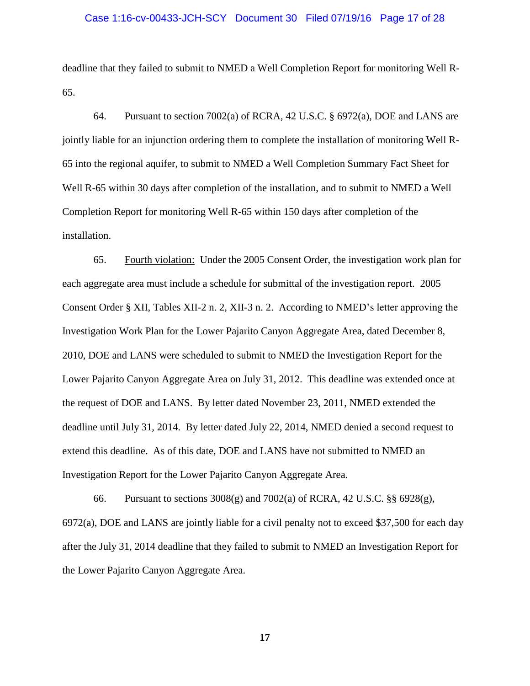### Case 1:16-cv-00433-JCH-SCY Document 30 Filed 07/19/16 Page 17 of 28

deadline that they failed to submit to NMED a Well Completion Report for monitoring Well R-65.

64. Pursuant to section 7002(a) of RCRA, 42 U.S.C. § 6972(a), DOE and LANS are jointly liable for an injunction ordering them to complete the installation of monitoring Well R-65 into the regional aquifer, to submit to NMED a Well Completion Summary Fact Sheet for Well R-65 within 30 days after completion of the installation, and to submit to NMED a Well Completion Report for monitoring Well R-65 within 150 days after completion of the installation.

65. Fourth violation: Under the 2005 Consent Order, the investigation work plan for each aggregate area must include a schedule for submittal of the investigation report. 2005 Consent Order § XII, Tables XII-2 n. 2, XII-3 n. 2. According to NMED's letter approving the Investigation Work Plan for the Lower Pajarito Canyon Aggregate Area, dated December 8, 2010, DOE and LANS were scheduled to submit to NMED the Investigation Report for the Lower Pajarito Canyon Aggregate Area on July 31, 2012. This deadline was extended once at the request of DOE and LANS. By letter dated November 23, 2011, NMED extended the deadline until July 31, 2014. By letter dated July 22, 2014, NMED denied a second request to extend this deadline. As of this date, DOE and LANS have not submitted to NMED an Investigation Report for the Lower Pajarito Canyon Aggregate Area.

66. Pursuant to sections 3008(g) and 7002(a) of RCRA, 42 U.S.C. §§ 6928(g), 6972(a), DOE and LANS are jointly liable for a civil penalty not to exceed \$37,500 for each day after the July 31, 2014 deadline that they failed to submit to NMED an Investigation Report for the Lower Pajarito Canyon Aggregate Area.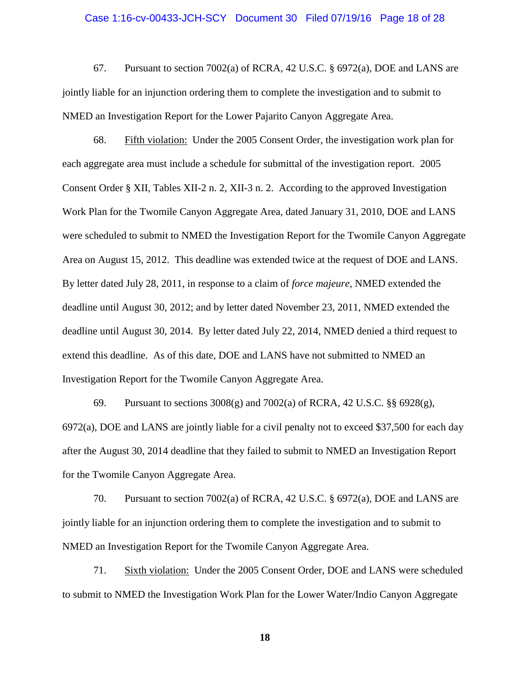### Case 1:16-cv-00433-JCH-SCY Document 30 Filed 07/19/16 Page 18 of 28

67. Pursuant to section 7002(a) of RCRA, 42 U.S.C. § 6972(a), DOE and LANS are jointly liable for an injunction ordering them to complete the investigation and to submit to NMED an Investigation Report for the Lower Pajarito Canyon Aggregate Area.

68. Fifth violation: Under the 2005 Consent Order, the investigation work plan for each aggregate area must include a schedule for submittal of the investigation report. 2005 Consent Order § XII, Tables XII-2 n. 2, XII-3 n. 2. According to the approved Investigation Work Plan for the Twomile Canyon Aggregate Area, dated January 31, 2010, DOE and LANS were scheduled to submit to NMED the Investigation Report for the Twomile Canyon Aggregate Area on August 15, 2012. This deadline was extended twice at the request of DOE and LANS. By letter dated July 28, 2011, in response to a claim of *force majeure*, NMED extended the deadline until August 30, 2012; and by letter dated November 23, 2011, NMED extended the deadline until August 30, 2014. By letter dated July 22, 2014, NMED denied a third request to extend this deadline. As of this date, DOE and LANS have not submitted to NMED an Investigation Report for the Twomile Canyon Aggregate Area.

69. Pursuant to sections  $3008(g)$  and  $7002(a)$  of RCRA, 42 U.S.C. §§ 6928(g), 6972(a), DOE and LANS are jointly liable for a civil penalty not to exceed \$37,500 for each day after the August 30, 2014 deadline that they failed to submit to NMED an Investigation Report for the Twomile Canyon Aggregate Area.

70. Pursuant to section 7002(a) of RCRA, 42 U.S.C. § 6972(a), DOE and LANS are jointly liable for an injunction ordering them to complete the investigation and to submit to NMED an Investigation Report for the Twomile Canyon Aggregate Area.

71. Sixth violation: Under the 2005 Consent Order, DOE and LANS were scheduled to submit to NMED the Investigation Work Plan for the Lower Water/Indio Canyon Aggregate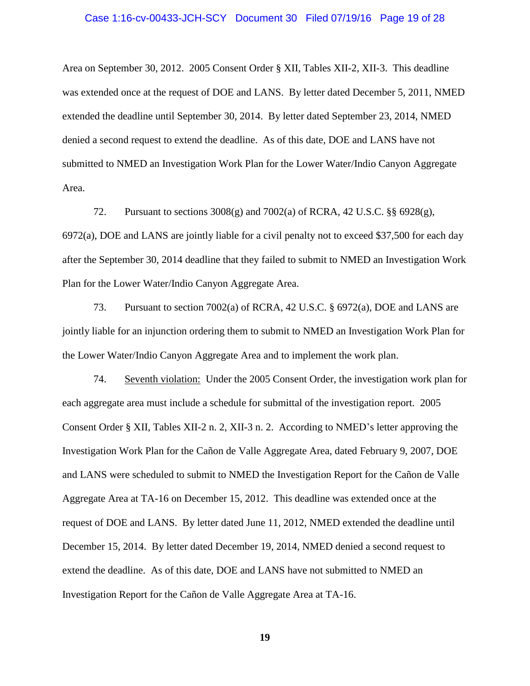### Case 1:16-cv-00433-JCH-SCY Document 30 Filed 07/19/16 Page 19 of 28

Area on September 30, 2012. 2005 Consent Order § XII, Tables XII-2, XII-3. This deadline was extended once at the request of DOE and LANS. By letter dated December 5, 2011, NMED extended the deadline until September 30, 2014. By letter dated September 23, 2014, NMED denied a second request to extend the deadline. As of this date, DOE and LANS have not submitted to NMED an Investigation Work Plan for the Lower Water/Indio Canyon Aggregate Area.

72. Pursuant to sections 3008(g) and 7002(a) of RCRA, 42 U.S.C. §§ 6928(g), 6972(a), DOE and LANS are jointly liable for a civil penalty not to exceed \$37,500 for each day after the September 30, 2014 deadline that they failed to submit to NMED an Investigation Work Plan for the Lower Water/Indio Canyon Aggregate Area.

73. Pursuant to section 7002(a) of RCRA, 42 U.S.C. § 6972(a), DOE and LANS are jointly liable for an injunction ordering them to submit to NMED an Investigation Work Plan for the Lower Water/Indio Canyon Aggregate Area and to implement the work plan.

74. Seventh violation: Under the 2005 Consent Order, the investigation work plan for each aggregate area must include a schedule for submittal of the investigation report. 2005 Consent Order § XII, Tables XII-2 n. 2, XII-3 n. 2. According to NMED's letter approving the Investigation Work Plan for the Cañon de Valle Aggregate Area, dated February 9, 2007, DOE and LANS were scheduled to submit to NMED the Investigation Report for the Cañon de Valle Aggregate Area at TA-16 on December 15, 2012. This deadline was extended once at the request of DOE and LANS. By letter dated June 11, 2012, NMED extended the deadline until December 15, 2014. By letter dated December 19, 2014, NMED denied a second request to extend the deadline. As of this date, DOE and LANS have not submitted to NMED an Investigation Report for the Cañon de Valle Aggregate Area at TA-16.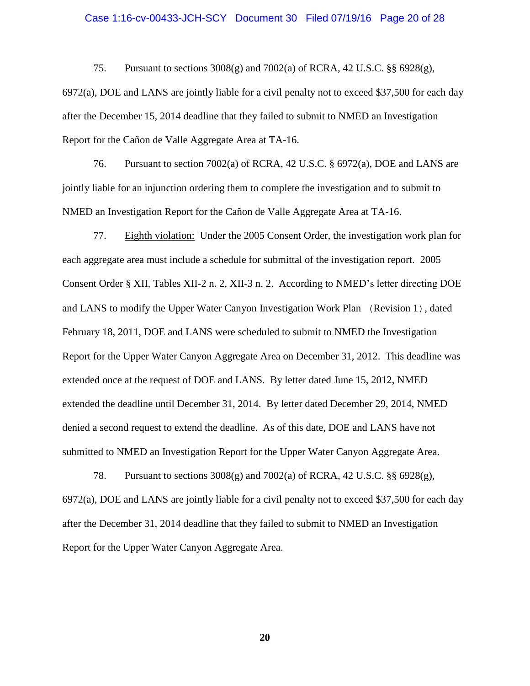### Case 1:16-cv-00433-JCH-SCY Document 30 Filed 07/19/16 Page 20 of 28

75. Pursuant to sections 3008(g) and 7002(a) of RCRA, 42 U.S.C. §§ 6928(g), 6972(a), DOE and LANS are jointly liable for a civil penalty not to exceed \$37,500 for each day after the December 15, 2014 deadline that they failed to submit to NMED an Investigation Report for the Cañon de Valle Aggregate Area at TA-16.

76. Pursuant to section 7002(a) of RCRA, 42 U.S.C. § 6972(a), DOE and LANS are jointly liable for an injunction ordering them to complete the investigation and to submit to NMED an Investigation Report for the Cañon de Valle Aggregate Area at TA-16.

77. Eighth violation: Under the 2005 Consent Order, the investigation work plan for each aggregate area must include a schedule for submittal of the investigation report. 2005 Consent Order § XII, Tables XII-2 n. 2, XII-3 n. 2. According to NMED's letter directing DOE and LANS to modify the Upper Water Canyon Investigation Work Plan (Revision 1), dated February 18, 2011, DOE and LANS were scheduled to submit to NMED the Investigation Report for the Upper Water Canyon Aggregate Area on December 31, 2012. This deadline was extended once at the request of DOE and LANS. By letter dated June 15, 2012, NMED extended the deadline until December 31, 2014. By letter dated December 29, 2014, NMED denied a second request to extend the deadline. As of this date, DOE and LANS have not submitted to NMED an Investigation Report for the Upper Water Canyon Aggregate Area.

78. Pursuant to sections 3008(g) and 7002(a) of RCRA, 42 U.S.C. §§ 6928(g), 6972(a), DOE and LANS are jointly liable for a civil penalty not to exceed \$37,500 for each day after the December 31, 2014 deadline that they failed to submit to NMED an Investigation Report for the Upper Water Canyon Aggregate Area.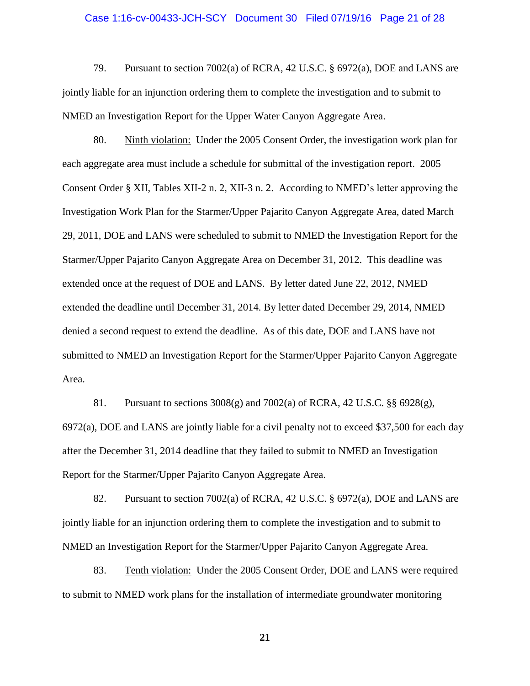### Case 1:16-cv-00433-JCH-SCY Document 30 Filed 07/19/16 Page 21 of 28

79. Pursuant to section 7002(a) of RCRA, 42 U.S.C. § 6972(a), DOE and LANS are jointly liable for an injunction ordering them to complete the investigation and to submit to NMED an Investigation Report for the Upper Water Canyon Aggregate Area.

80. Ninth violation: Under the 2005 Consent Order, the investigation work plan for each aggregate area must include a schedule for submittal of the investigation report. 2005 Consent Order § XII, Tables XII-2 n. 2, XII-3 n. 2. According to NMED's letter approving the Investigation Work Plan for the Starmer/Upper Pajarito Canyon Aggregate Area, dated March 29, 2011, DOE and LANS were scheduled to submit to NMED the Investigation Report for the Starmer/Upper Pajarito Canyon Aggregate Area on December 31, 2012. This deadline was extended once at the request of DOE and LANS. By letter dated June 22, 2012, NMED extended the deadline until December 31, 2014. By letter dated December 29, 2014, NMED denied a second request to extend the deadline. As of this date, DOE and LANS have not submitted to NMED an Investigation Report for the Starmer/Upper Pajarito Canyon Aggregate Area.

81. Pursuant to sections  $3008(g)$  and  $7002(a)$  of RCRA, 42 U.S.C. §§ 6928(g), 6972(a), DOE and LANS are jointly liable for a civil penalty not to exceed \$37,500 for each day after the December 31, 2014 deadline that they failed to submit to NMED an Investigation Report for the Starmer/Upper Pajarito Canyon Aggregate Area.

82. Pursuant to section 7002(a) of RCRA, 42 U.S.C. § 6972(a), DOE and LANS are jointly liable for an injunction ordering them to complete the investigation and to submit to NMED an Investigation Report for the Starmer/Upper Pajarito Canyon Aggregate Area.

83. Tenth violation: Under the 2005 Consent Order, DOE and LANS were required to submit to NMED work plans for the installation of intermediate groundwater monitoring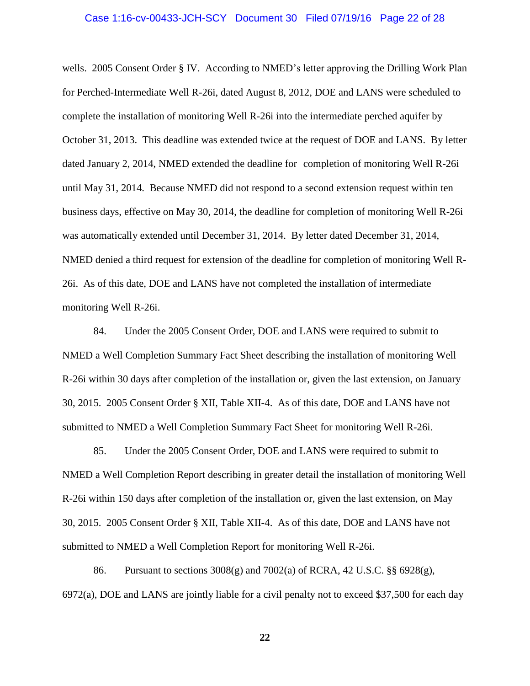### Case 1:16-cv-00433-JCH-SCY Document 30 Filed 07/19/16 Page 22 of 28

wells. 2005 Consent Order § IV. According to NMED's letter approving the Drilling Work Plan for Perched-Intermediate Well R-26i, dated August 8, 2012, DOE and LANS were scheduled to complete the installation of monitoring Well R-26i into the intermediate perched aquifer by October 31, 2013. This deadline was extended twice at the request of DOE and LANS. By letter dated January 2, 2014, NMED extended the deadline for completion of monitoring Well R-26i until May 31, 2014. Because NMED did not respond to a second extension request within ten business days, effective on May 30, 2014, the deadline for completion of monitoring Well R-26i was automatically extended until December 31, 2014. By letter dated December 31, 2014, NMED denied a third request for extension of the deadline for completion of monitoring Well R-26i. As of this date, DOE and LANS have not completed the installation of intermediate monitoring Well R-26i.

84. Under the 2005 Consent Order, DOE and LANS were required to submit to NMED a Well Completion Summary Fact Sheet describing the installation of monitoring Well R-26i within 30 days after completion of the installation or, given the last extension, on January 30, 2015. 2005 Consent Order § XII, Table XII-4. As of this date, DOE and LANS have not submitted to NMED a Well Completion Summary Fact Sheet for monitoring Well R-26i.

85. Under the 2005 Consent Order, DOE and LANS were required to submit to NMED a Well Completion Report describing in greater detail the installation of monitoring Well R-26i within 150 days after completion of the installation or, given the last extension, on May 30, 2015. 2005 Consent Order § XII, Table XII-4. As of this date, DOE and LANS have not submitted to NMED a Well Completion Report for monitoring Well R-26i.

86. Pursuant to sections  $3008(g)$  and  $7002(a)$  of RCRA, 42 U.S.C. §§ 6928(g), 6972(a), DOE and LANS are jointly liable for a civil penalty not to exceed \$37,500 for each day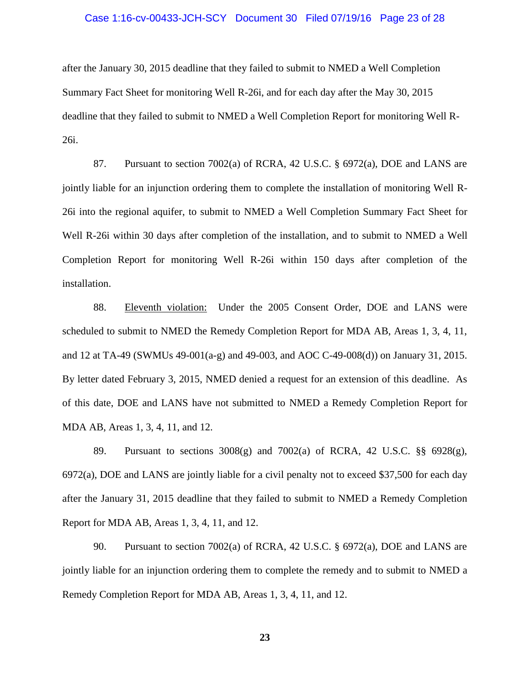### Case 1:16-cv-00433-JCH-SCY Document 30 Filed 07/19/16 Page 23 of 28

after the January 30, 2015 deadline that they failed to submit to NMED a Well Completion Summary Fact Sheet for monitoring Well R-26i, and for each day after the May 30, 2015 deadline that they failed to submit to NMED a Well Completion Report for monitoring Well R-26i.

87. Pursuant to section 7002(a) of RCRA, 42 U.S.C. § 6972(a), DOE and LANS are jointly liable for an injunction ordering them to complete the installation of monitoring Well R-26i into the regional aquifer, to submit to NMED a Well Completion Summary Fact Sheet for Well R-26i within 30 days after completion of the installation, and to submit to NMED a Well Completion Report for monitoring Well R-26i within 150 days after completion of the installation.

88. Eleventh violation: Under the 2005 Consent Order, DOE and LANS were scheduled to submit to NMED the Remedy Completion Report for MDA AB, Areas 1, 3, 4, 11, and 12 at TA-49 (SWMUs 49-001(a-g) and 49-003, and AOC C-49-008(d)) on January 31, 2015. By letter dated February 3, 2015, NMED denied a request for an extension of this deadline. As of this date, DOE and LANS have not submitted to NMED a Remedy Completion Report for MDA AB, Areas 1, 3, 4, 11, and 12.

89. Pursuant to sections  $3008(g)$  and  $7002(a)$  of RCRA, 42 U.S.C. §§ 6928(g), 6972(a), DOE and LANS are jointly liable for a civil penalty not to exceed \$37,500 for each day after the January 31, 2015 deadline that they failed to submit to NMED a Remedy Completion Report for MDA AB, Areas 1, 3, 4, 11, and 12.

90. Pursuant to section 7002(a) of RCRA, 42 U.S.C.  $\S$  6972(a), DOE and LANS are jointly liable for an injunction ordering them to complete the remedy and to submit to NMED a Remedy Completion Report for MDA AB, Areas 1, 3, 4, 11, and 12.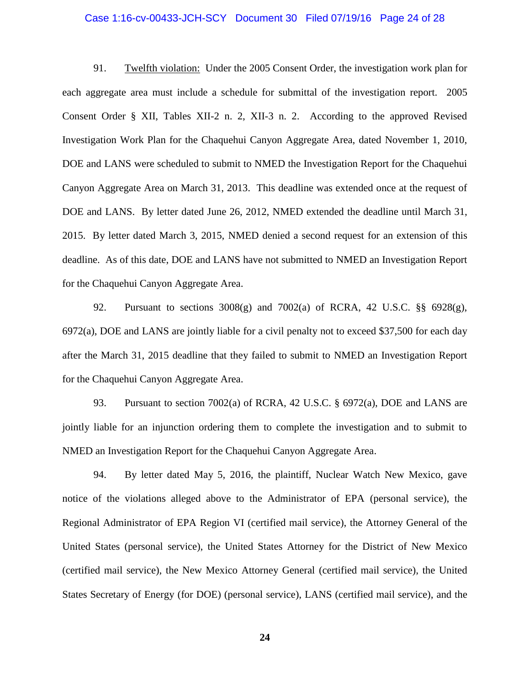### Case 1:16-cv-00433-JCH-SCY Document 30 Filed 07/19/16 Page 24 of 28

91. Twelfth violation: Under the 2005 Consent Order, the investigation work plan for each aggregate area must include a schedule for submittal of the investigation report. 2005 Consent Order § XII, Tables XII-2 n. 2, XII-3 n. 2. According to the approved Revised Investigation Work Plan for the Chaquehui Canyon Aggregate Area, dated November 1, 2010, DOE and LANS were scheduled to submit to NMED the Investigation Report for the Chaquehui Canyon Aggregate Area on March 31, 2013. This deadline was extended once at the request of DOE and LANS. By letter dated June 26, 2012, NMED extended the deadline until March 31, 2015. By letter dated March 3, 2015, NMED denied a second request for an extension of this deadline. As of this date, DOE and LANS have not submitted to NMED an Investigation Report for the Chaquehui Canyon Aggregate Area.

92. Pursuant to sections 3008(g) and 7002(a) of RCRA, 42 U.S.C. §§ 6928(g), 6972(a), DOE and LANS are jointly liable for a civil penalty not to exceed \$37,500 for each day after the March 31, 2015 deadline that they failed to submit to NMED an Investigation Report for the Chaquehui Canyon Aggregate Area.

93. Pursuant to section 7002(a) of RCRA, 42 U.S.C. § 6972(a), DOE and LANS are jointly liable for an injunction ordering them to complete the investigation and to submit to NMED an Investigation Report for the Chaquehui Canyon Aggregate Area.

94. By letter dated May 5, 2016, the plaintiff, Nuclear Watch New Mexico, gave notice of the violations alleged above to the Administrator of EPA (personal service), the Regional Administrator of EPA Region VI (certified mail service), the Attorney General of the United States (personal service), the United States Attorney for the District of New Mexico (certified mail service), the New Mexico Attorney General (certified mail service), the United States Secretary of Energy (for DOE) (personal service), LANS (certified mail service), and the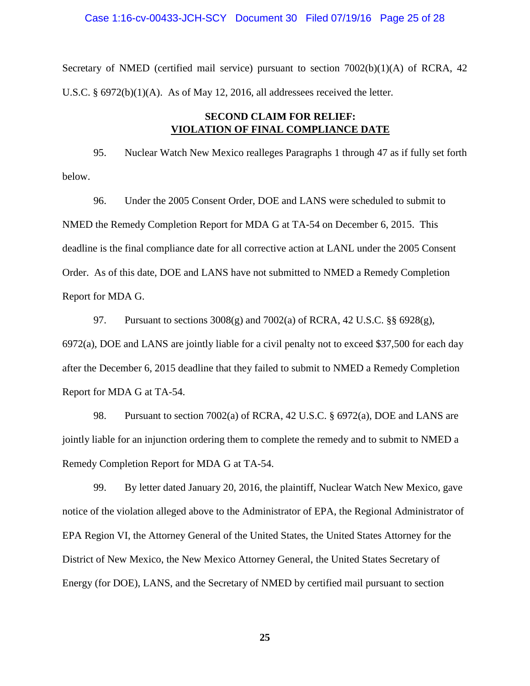### Case 1:16-cv-00433-JCH-SCY Document 30 Filed 07/19/16 Page 25 of 28

Secretary of NMED (certified mail service) pursuant to section  $7002(b)(1)(A)$  of RCRA, 42 U.S.C. § 6972(b)(1)(A). As of May 12, 2016, all addressees received the letter.

# **SECOND CLAIM FOR RELIEF: VIOLATION OF FINAL COMPLIANCE DATE**

95. Nuclear Watch New Mexico realleges Paragraphs 1 through 47 as if fully set forth below.

96. Under the 2005 Consent Order, DOE and LANS were scheduled to submit to NMED the Remedy Completion Report for MDA G at TA-54 on December 6, 2015. This deadline is the final compliance date for all corrective action at LANL under the 2005 Consent Order. As of this date, DOE and LANS have not submitted to NMED a Remedy Completion Report for MDA G.

97. Pursuant to sections  $3008(g)$  and  $7002(a)$  of RCRA, 42 U.S.C. §§ 6928(g), 6972(a), DOE and LANS are jointly liable for a civil penalty not to exceed \$37,500 for each day after the December 6, 2015 deadline that they failed to submit to NMED a Remedy Completion Report for MDA G at TA-54.

98. Pursuant to section 7002(a) of RCRA, 42 U.S.C. § 6972(a), DOE and LANS are jointly liable for an injunction ordering them to complete the remedy and to submit to NMED a Remedy Completion Report for MDA G at TA-54.

99. By letter dated January 20, 2016, the plaintiff, Nuclear Watch New Mexico, gave notice of the violation alleged above to the Administrator of EPA, the Regional Administrator of EPA Region VI, the Attorney General of the United States, the United States Attorney for the District of New Mexico, the New Mexico Attorney General, the United States Secretary of Energy (for DOE), LANS, and the Secretary of NMED by certified mail pursuant to section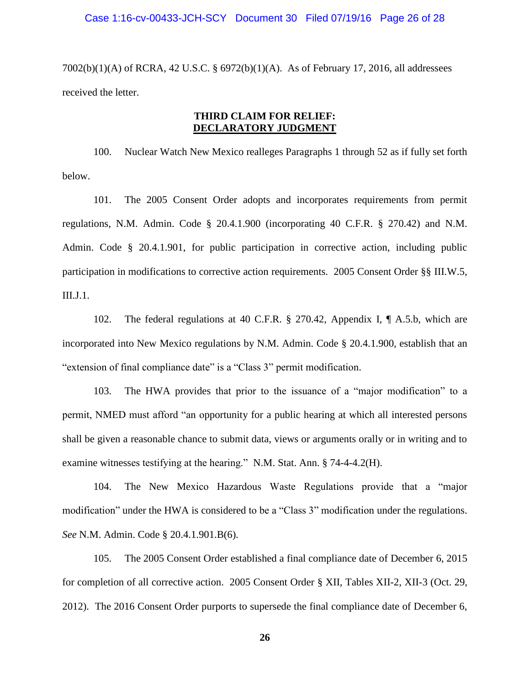7002(b)(1)(A) of RCRA, 42 U.S.C. § 6972(b)(1)(A). As of February 17, 2016, all addressees received the letter.

# **THIRD CLAIM FOR RELIEF: DECLARATORY JUDGMENT**

100. Nuclear Watch New Mexico realleges Paragraphs 1 through 52 as if fully set forth below.

101. The 2005 Consent Order adopts and incorporates requirements from permit regulations, N.M. Admin. Code § 20.4.1.900 (incorporating 40 C.F.R. § 270.42) and N.M. Admin. Code § 20.4.1.901, for public participation in corrective action, including public participation in modifications to corrective action requirements. 2005 Consent Order §§ III.W.5, III.J.1.

102. The federal regulations at 40 C.F.R. § 270.42, Appendix I, ¶ A.5.b, which are incorporated into New Mexico regulations by N.M. Admin. Code § 20.4.1.900, establish that an "extension of final compliance date" is a "Class 3" permit modification.

103. The HWA provides that prior to the issuance of a "major modification" to a permit, NMED must afford "an opportunity for a public hearing at which all interested persons shall be given a reasonable chance to submit data, views or arguments orally or in writing and to examine witnesses testifying at the hearing." N.M. Stat. Ann. § 74-4-4.2(H).

104. The New Mexico Hazardous Waste Regulations provide that a "major modification" under the HWA is considered to be a "Class 3" modification under the regulations. *See* N.M. Admin. Code § 20.4.1.901.B(6).

105. The 2005 Consent Order established a final compliance date of December 6, 2015 for completion of all corrective action. 2005 Consent Order § XII, Tables XII-2, XII-3 (Oct. 29, 2012). The 2016 Consent Order purports to supersede the final compliance date of December 6,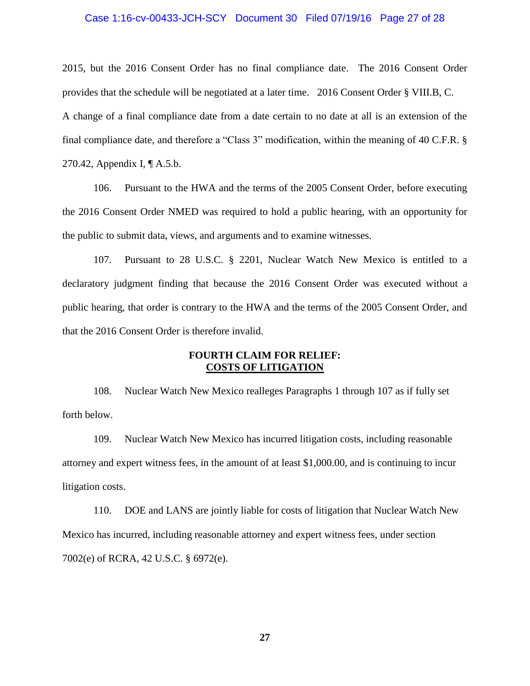### Case 1:16-cv-00433-JCH-SCY Document 30 Filed 07/19/16 Page 27 of 28

2015, but the 2016 Consent Order has no final compliance date. The 2016 Consent Order provides that the schedule will be negotiated at a later time. 2016 Consent Order § VIII.B, C. A change of a final compliance date from a date certain to no date at all is an extension of the final compliance date, and therefore a "Class 3" modification, within the meaning of 40 C.F.R. § 270.42, Appendix I, ¶ A.5.b.

106. Pursuant to the HWA and the terms of the 2005 Consent Order, before executing the 2016 Consent Order NMED was required to hold a public hearing, with an opportunity for the public to submit data, views, and arguments and to examine witnesses.

107. Pursuant to 28 U.S.C. § 2201, Nuclear Watch New Mexico is entitled to a declaratory judgment finding that because the 2016 Consent Order was executed without a public hearing, that order is contrary to the HWA and the terms of the 2005 Consent Order, and that the 2016 Consent Order is therefore invalid.

## **FOURTH CLAIM FOR RELIEF: COSTS OF LITIGATION**

108. Nuclear Watch New Mexico realleges Paragraphs 1 through 107 as if fully set forth below.

109. Nuclear Watch New Mexico has incurred litigation costs, including reasonable attorney and expert witness fees, in the amount of at least \$1,000.00, and is continuing to incur litigation costs.

110. DOE and LANS are jointly liable for costs of litigation that Nuclear Watch New Mexico has incurred, including reasonable attorney and expert witness fees, under section 7002(e) of RCRA, 42 U.S.C. § 6972(e).